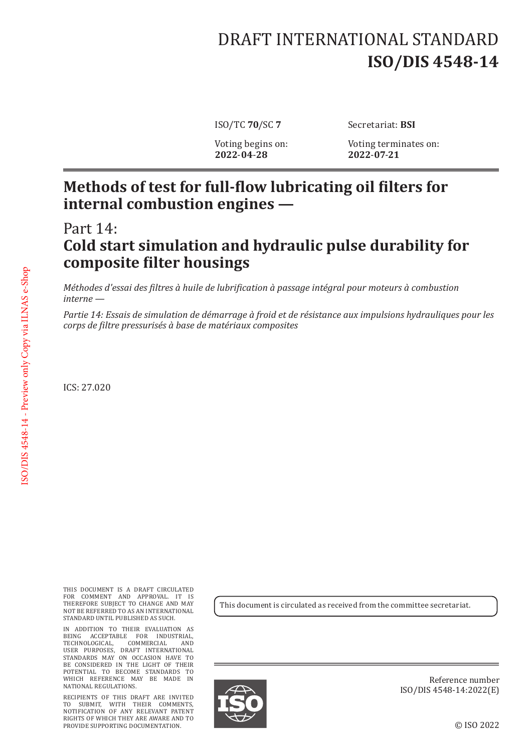# DRAFT INTERNATIONAL STANDARD **ISO/DIS 4548-14**

**2022**-**04**-**28 2022**-**07**-**21**

ISO/TC **70**/SC **7** Secretariat: **BSI**

Voting begins on: Voting terminates on:<br>2022-04-28 2022-07-21

#### **Methods of test for full-flow lubricating oil filters for internal combustion engines —**

## Part 14: **Cold start simulation and hydraulic pulse durability for composite filter housings**

*Méthodes d'essai des filtres à huile de lubrification à passage intégral pour moteurs à combustion interne —*

*Partie 14: Essais de simulation de démarrage à froid et de résistance aux impulsions hydrauliques pour les corps de filtre pressurisés à base de matériaux composites*

ICS: 27.020

THIS DOCUMENT IS A DRAFT CIRCULATED FOR COMMENT AND APPROVAL. IT IS THEREFORE SUBJECT TO CHANGE AND MAY NOT BE REFERRED TO AS AN INTERNATIONAL STANDARD UNTIL PUBLISHED AS SUCH.

IN ADDITION TO THEIR EVALUATION AS BEING ACCEPTABLE FOR INDUSTRIAL, TECHNOLOGICAL, COMMERCIAL AND USER PURPOSES, DRAFT INTERNATIONAL STANDARDS MAY ON OCCASION HAVE TO BE CONSIDERED IN THE LIGHT OF THEIR POTENTIAL TO BECOME STANDARDS TO WHICH REFERENCE MAY BE MADE IN NATIONAL REGULATIONS.

RECIPIENTS OF THIS DRAFT ARE INVITED TO SUBMIT, WITH THEIR COMMENTS, NOTIFICATION OF ANY RELEVANT PATENT RIGHTS OF WHICH THEY ARE AWARE AND TO PROVIDE SUPPORTING DOCUMENTATION.

This document is circulated as received from the committee secretariat.



Reference number ISO/DIS 4548-14:2022(E)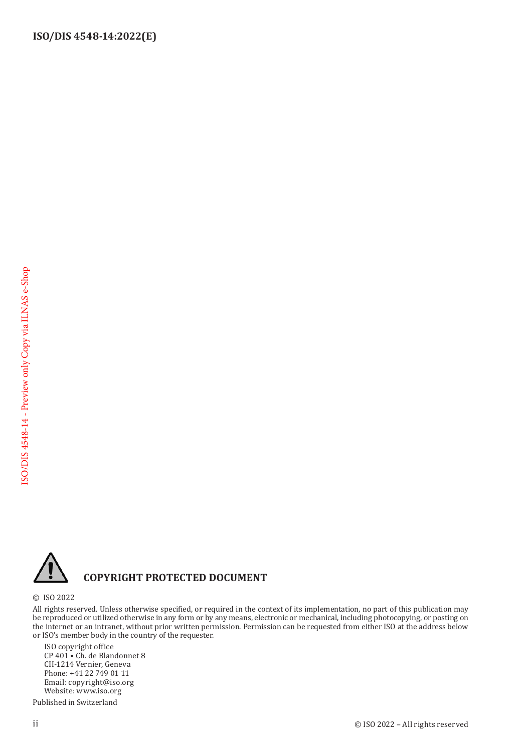

#### **COPYRIGHT PROTECTED DOCUMENT**

© ISO 2022

All rights reserved. Unless otherwise specified, or required in the context of its implementation, no part of this publication may be reproduced or utilized otherwise in any form or by any means, electronic or mechanical, including photocopying, or posting on the internet or an intranet, without prior written permission. Permission can be requested from either ISO at the address below or ISO's member body in the country of the requester.

ISO copyright office CP 401 • Ch. de Blandonnet 8 CH-1214 Vernier, Geneva Phone: +41 22 749 01 11 Email: copyright@iso.org Website: www.iso.org

Published in Switzerland